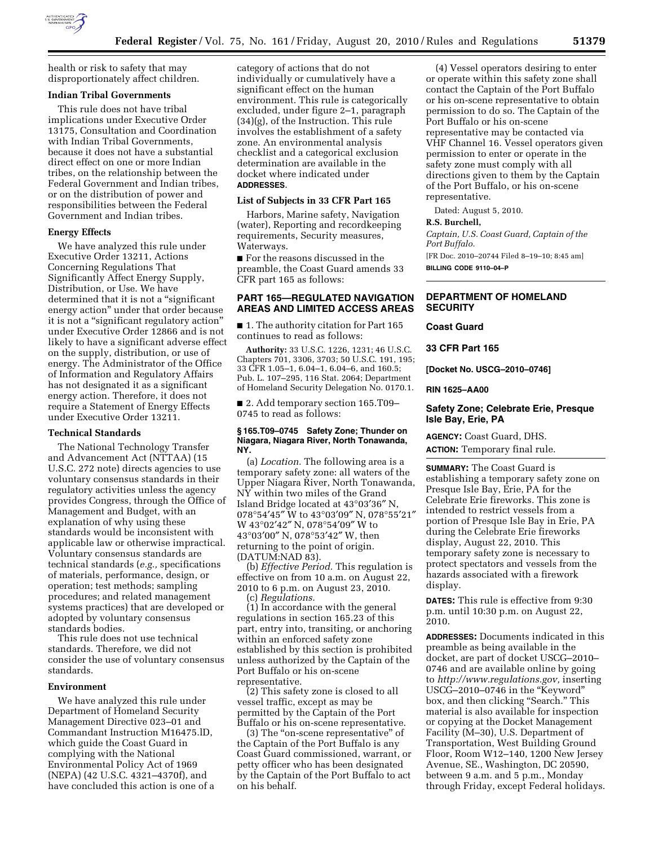

health or risk to safety that may disproportionately affect children.

# **Indian Tribal Governments**

This rule does not have tribal implications under Executive Order 13175, Consultation and Coordination with Indian Tribal Governments, because it does not have a substantial direct effect on one or more Indian tribes, on the relationship between the Federal Government and Indian tribes, or on the distribution of power and responsibilities between the Federal Government and Indian tribes.

#### **Energy Effects**

We have analyzed this rule under Executive Order 13211, Actions Concerning Regulations That Significantly Affect Energy Supply, Distribution, or Use. We have determined that it is not a "significant energy action'' under that order because it is not a ''significant regulatory action'' under Executive Order 12866 and is not likely to have a significant adverse effect on the supply, distribution, or use of energy. The Administrator of the Office of Information and Regulatory Affairs has not designated it as a significant energy action. Therefore, it does not require a Statement of Energy Effects under Executive Order 13211.

### **Technical Standards**

The National Technology Transfer and Advancement Act (NTTAA) (15 U.S.C. 272 note) directs agencies to use voluntary consensus standards in their regulatory activities unless the agency provides Congress, through the Office of Management and Budget, with an explanation of why using these standards would be inconsistent with applicable law or otherwise impractical. Voluntary consensus standards are technical standards (*e.g.,* specifications of materials, performance, design, or operation; test methods; sampling procedures; and related management systems practices) that are developed or adopted by voluntary consensus standards bodies.

This rule does not use technical standards. Therefore, we did not consider the use of voluntary consensus standards.

## **Environment**

We have analyzed this rule under Department of Homeland Security Management Directive 023–01 and Commandant Instruction M16475.lD, which guide the Coast Guard in complying with the National Environmental Policy Act of 1969 (NEPA) (42 U.S.C. 4321–4370f), and have concluded this action is one of a category of actions that do not individually or cumulatively have a significant effect on the human environment. This rule is categorically excluded, under figure 2–1, paragraph (34)(g), of the Instruction. This rule involves the establishment of a safety zone. An environmental analysis checklist and a categorical exclusion determination are available in the docket where indicated under **ADDRESSES**.

## **List of Subjects in 33 CFR Part 165**

Harbors, Marine safety, Navigation (water), Reporting and recordkeeping requirements, Security measures, Waterways.

■ For the reasons discussed in the preamble, the Coast Guard amends 33 CFR part 165 as follows:

# **PART 165—REGULATED NAVIGATION AREAS AND LIMITED ACCESS AREAS**

■ 1. The authority citation for Part 165 continues to read as follows:

**Authority:** 33 U.S.C. 1226, 1231; 46 U.S.C. Chapters 701, 3306, 3703; 50 U.S.C. 191, 195; 33 CFR 1.05–1, 6.04–1, 6.04–6, and 160.5; Pub. L. 107–295, 116 Stat. 2064; Department of Homeland Security Delegation No. 0170.1.

■ 2. Add temporary section 165.T09– 0745 to read as follows:

#### **§ 165.T09–0745 Safety Zone; Thunder on Niagara, Niagara River, North Tonawanda, NY.**

(a) *Location.* The following area is a temporary safety zone: all waters of the Upper Niagara River, North Tonawanda, NY within two miles of the Grand Island Bridge located at 43°03′36″ N, 078°54′45″ W to 43°03′09″ N, 078°55′21″ W 43°02′42″ N, 078°54′09″ W to 43°03′00″ N, 078°53′42″ W, then returning to the point of origin. (DATUM:NAD 83).

(b) *Effective Period.* This regulation is effective on from 10 a.m. on August 22, 2010 to 6 p.m. on August 23, 2010. (c) *Regulations.* 

(1) In accordance with the general regulations in section 165.23 of this part, entry into, transiting, or anchoring within an enforced safety zone established by this section is prohibited unless authorized by the Captain of the Port Buffalo or his on-scene representative.

(2) This safety zone is closed to all vessel traffic, except as may be permitted by the Captain of the Port Buffalo or his on-scene representative.

(3) The ''on-scene representative'' of the Captain of the Port Buffalo is any Coast Guard commissioned, warrant, or petty officer who has been designated by the Captain of the Port Buffalo to act on his behalf.

(4) Vessel operators desiring to enter or operate within this safety zone shall contact the Captain of the Port Buffalo or his on-scene representative to obtain permission to do so. The Captain of the Port Buffalo or his on-scene representative may be contacted via VHF Channel 16. Vessel operators given permission to enter or operate in the safety zone must comply with all directions given to them by the Captain of the Port Buffalo, or his on-scene representative.

Dated: August 5, 2010.

## **R.S. Burchell,**

*Captain, U.S. Coast Guard, Captain of the Port Buffalo.*  [FR Doc. 2010–20744 Filed 8–19–10; 8:45 am]

**BILLING CODE 9110–04–P** 

## **DEPARTMENT OF HOMELAND SECURITY**

### **Coast Guard**

**33 CFR Part 165** 

**[Docket No. USCG–2010–0746]** 

**RIN 1625–AA00** 

# **Safety Zone; Celebrate Erie, Presque Isle Bay, Erie, PA**

**AGENCY:** Coast Guard, DHS. **ACTION:** Temporary final rule.

**SUMMARY:** The Coast Guard is establishing a temporary safety zone on Presque Isle Bay, Erie, PA for the Celebrate Erie fireworks. This zone is intended to restrict vessels from a portion of Presque Isle Bay in Erie, PA during the Celebrate Erie fireworks display, August 22, 2010. This temporary safety zone is necessary to protect spectators and vessels from the hazards associated with a firework display.

**DATES:** This rule is effective from 9:30 p.m. until 10:30 p.m. on August 22, 2010.

**ADDRESSES:** Documents indicated in this preamble as being available in the docket, are part of docket USCG–2010– 0746 and are available online by going to *[http://www.regulations.gov,](http://www.regulations.gov)* inserting USCG–2010–0746 in the ''Keyword'' box, and then clicking ''Search.'' This material is also available for inspection or copying at the Docket Management Facility (M–30), U.S. Department of Transportation, West Building Ground Floor, Room W12–140, 1200 New Jersey Avenue, SE., Washington, DC 20590, between 9 a.m. and 5 p.m., Monday through Friday, except Federal holidays.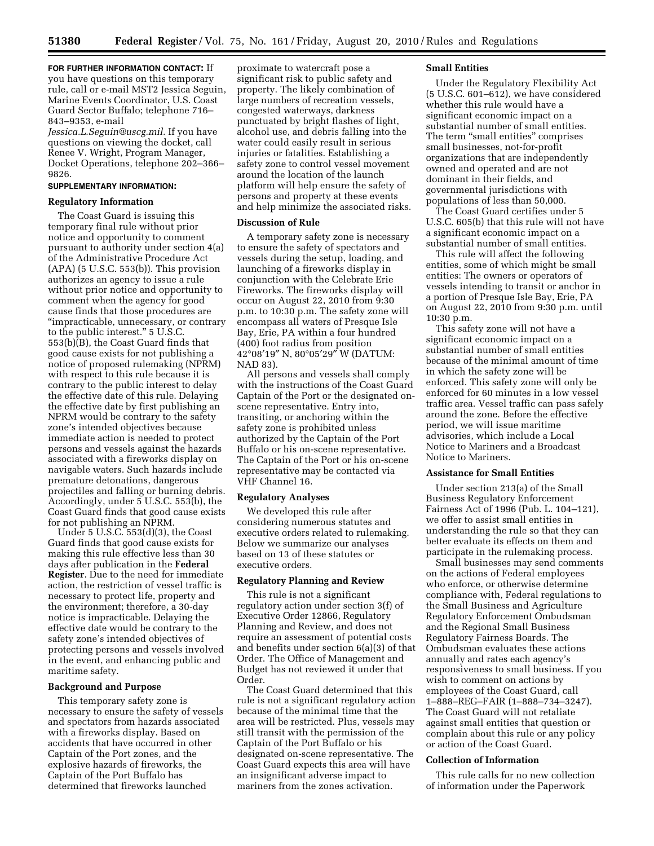**FOR FURTHER INFORMATION CONTACT:** If you have questions on this temporary rule, call or e-mail MST2 Jessica Seguin, Marine Events Coordinator, U.S. Coast Guard Sector Buffalo; telephone 716– 843–9353, e-mail

*[Jessica.L.Seguin@uscg.mil.](mailto:Jessica.L.Seguin@uscg.mil)* If you have questions on viewing the docket, call Renee V. Wright, Program Manager, Docket Operations, telephone 202–366– 9826.

# **SUPPLEMENTARY INFORMATION:**

#### **Regulatory Information**

The Coast Guard is issuing this temporary final rule without prior notice and opportunity to comment pursuant to authority under section 4(a) of the Administrative Procedure Act (APA) (5 U.S.C. 553(b)). This provision authorizes an agency to issue a rule without prior notice and opportunity to comment when the agency for good cause finds that those procedures are ''impracticable, unnecessary, or contrary to the public interest.'' 5 U.S.C. 553(b)(B), the Coast Guard finds that good cause exists for not publishing a notice of proposed rulemaking (NPRM) with respect to this rule because it is contrary to the public interest to delay the effective date of this rule. Delaying the effective date by first publishing an NPRM would be contrary to the safety zone's intended objectives because immediate action is needed to protect persons and vessels against the hazards associated with a fireworks display on navigable waters. Such hazards include premature detonations, dangerous projectiles and falling or burning debris. Accordingly, under 5 U.S.C. 553(b), the Coast Guard finds that good cause exists for not publishing an NPRM.

Under 5 U.S.C. 553(d)(3), the Coast Guard finds that good cause exists for making this rule effective less than 30 days after publication in the **Federal Register**. Due to the need for immediate action, the restriction of vessel traffic is necessary to protect life, property and the environment; therefore, a 30-day notice is impracticable. Delaying the effective date would be contrary to the safety zone's intended objectives of protecting persons and vessels involved in the event, and enhancing public and maritime safety.

## **Background and Purpose**

This temporary safety zone is necessary to ensure the safety of vessels and spectators from hazards associated with a fireworks display. Based on accidents that have occurred in other Captain of the Port zones, and the explosive hazards of fireworks, the Captain of the Port Buffalo has determined that fireworks launched

proximate to watercraft pose a significant risk to public safety and property. The likely combination of large numbers of recreation vessels, congested waterways, darkness punctuated by bright flashes of light, alcohol use, and debris falling into the water could easily result in serious injuries or fatalities. Establishing a safety zone to control vessel movement around the location of the launch platform will help ensure the safety of persons and property at these events and help minimize the associated risks.

# **Discussion of Rule**

A temporary safety zone is necessary to ensure the safety of spectators and vessels during the setup, loading, and launching of a fireworks display in conjunction with the Celebrate Erie Fireworks. The fireworks display will occur on August 22, 2010 from 9:30 p.m. to 10:30 p.m. The safety zone will encompass all waters of Presque Isle Bay, Erie, PA within a four hundred (400) foot radius from position 42°08′19″ N, 80°05′29″ W (DATUM: NAD 83).

All persons and vessels shall comply with the instructions of the Coast Guard Captain of the Port or the designated onscene representative. Entry into, transiting, or anchoring within the safety zone is prohibited unless authorized by the Captain of the Port Buffalo or his on-scene representative. The Captain of the Port or his on-scene representative may be contacted via VHF Channel 16.

### **Regulatory Analyses**

We developed this rule after considering numerous statutes and executive orders related to rulemaking. Below we summarize our analyses based on 13 of these statutes or executive orders.

## **Regulatory Planning and Review**

This rule is not a significant regulatory action under section 3(f) of Executive Order 12866, Regulatory Planning and Review, and does not require an assessment of potential costs and benefits under section 6(a)(3) of that Order. The Office of Management and Budget has not reviewed it under that Order.

The Coast Guard determined that this rule is not a significant regulatory action because of the minimal time that the area will be restricted. Plus, vessels may still transit with the permission of the Captain of the Port Buffalo or his designated on-scene representative. The Coast Guard expects this area will have an insignificant adverse impact to mariners from the zones activation.

### **Small Entities**

Under the Regulatory Flexibility Act (5 U.S.C. 601–612), we have considered whether this rule would have a significant economic impact on a substantial number of small entities. The term "small entities" comprises small businesses, not-for-profit organizations that are independently owned and operated and are not dominant in their fields, and governmental jurisdictions with populations of less than 50,000.

The Coast Guard certifies under 5 U.S.C. 605(b) that this rule will not have a significant economic impact on a substantial number of small entities.

This rule will affect the following entities, some of which might be small entities: The owners or operators of vessels intending to transit or anchor in a portion of Presque Isle Bay, Erie, PA on August 22, 2010 from 9:30 p.m. until 10:30 p.m.

This safety zone will not have a significant economic impact on a substantial number of small entities because of the minimal amount of time in which the safety zone will be enforced. This safety zone will only be enforced for 60 minutes in a low vessel traffic area. Vessel traffic can pass safely around the zone. Before the effective period, we will issue maritime advisories, which include a Local Notice to Mariners and a Broadcast Notice to Mariners.

#### **Assistance for Small Entities**

Under section 213(a) of the Small Business Regulatory Enforcement Fairness Act of 1996 (Pub. L. 104–121), we offer to assist small entities in understanding the rule so that they can better evaluate its effects on them and participate in the rulemaking process.

Small businesses may send comments on the actions of Federal employees who enforce, or otherwise determine compliance with, Federal regulations to the Small Business and Agriculture Regulatory Enforcement Ombudsman and the Regional Small Business Regulatory Fairness Boards. The Ombudsman evaluates these actions annually and rates each agency's responsiveness to small business. If you wish to comment on actions by employees of the Coast Guard, call 1–888–REG–FAIR (1–888–734–3247). The Coast Guard will not retaliate against small entities that question or complain about this rule or any policy or action of the Coast Guard.

### **Collection of Information**

This rule calls for no new collection of information under the Paperwork